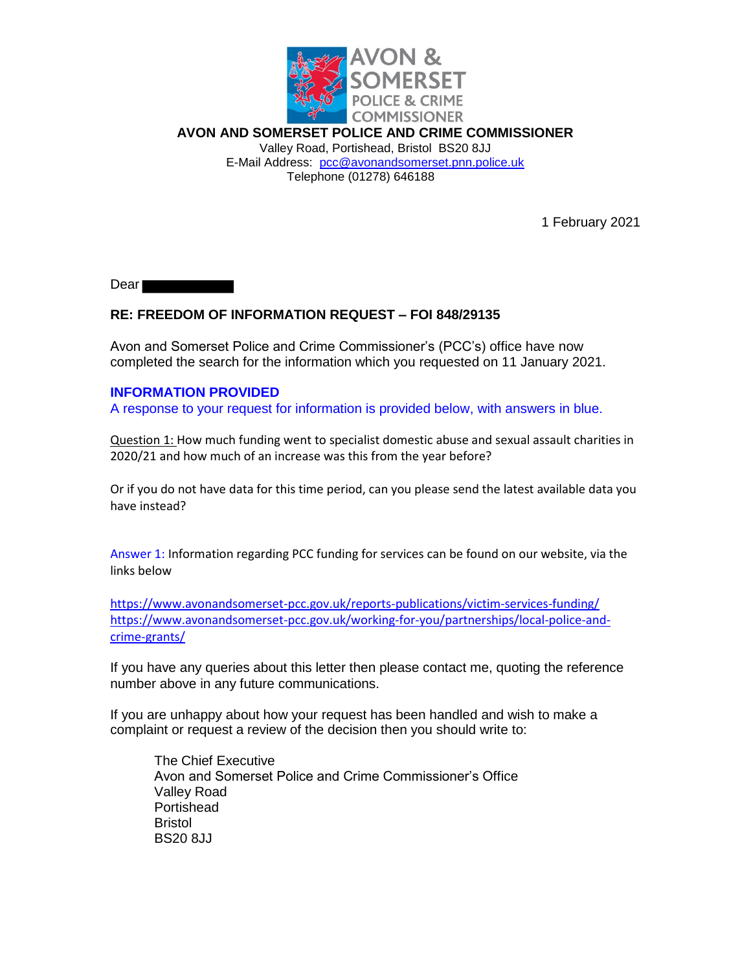

**AVON AND SOMERSET POLICE AND CRIME COMMISSIONER** Valley Road, Portishead, Bristol BS20 8JJ E-Mail Address: pcc@avonandsomerset.pnn.police.uk Telephone (01278) 646188

1 February 2021

Dear<sup>-</sup>

## **RE: FREEDOM OF INFORMATION REQUEST – FOI 848/29135**

Avon and Somerset Police and Crime Commissioner's (PCC's) office have now completed the search for the information which you requested on 11 January 2021.

## **INFORMATION PROVIDED**

A response to your request for information is provided below, with answers in blue.

Question 1: How much funding went to specialist domestic abuse and sexual assault charities in 2020/21 and how much of an increase was this from the year before?

Or if you do not have data for this time period, can you please send the latest available data you have instead?

Answer 1: Information regarding PCC funding for services can be found on our website, via the links below

https://www.avonandsomerset-pcc.gov.uk/reports-publications/victim-services-funding/ https://www.avonandsomerset-pcc.gov.uk/working-for-you/partnerships/local-police-andcrime-grants/

If you have any queries about this letter then please contact me, quoting the reference number above in any future communications.

If you are unhappy about how your request has been handled and wish to make a complaint or request a review of the decision then you should write to:

The Chief Executive Avon and Somerset Police and Crime Commissioner's Office Valley Road **Portishead** Bristol BS20 8JJ